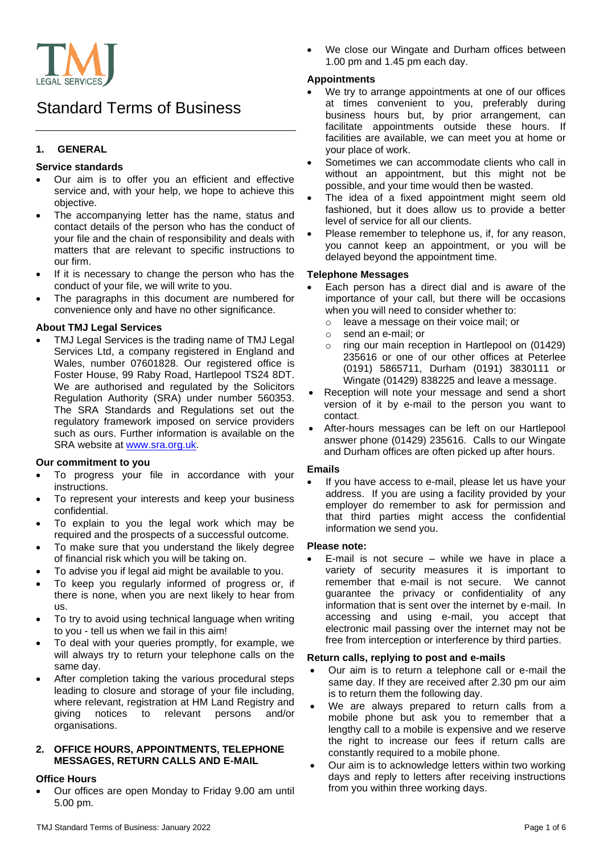

# Standard Terms of Business

# **1. GENERAL**

#### **Service standards**

- Our aim is to offer you an efficient and effective service and, with your help, we hope to achieve this objective.
- The accompanying letter has the name, status and contact details of the person who has the conduct of your file and the chain of responsibility and deals with matters that are relevant to specific instructions to our firm.
- If it is necessary to change the person who has the conduct of your file, we will write to you.
- The paragraphs in this document are numbered for convenience only and have no other significance.

#### **About TMJ Legal Services**

• TMJ Legal Services is the trading name of TMJ Legal Services Ltd, a company registered in England and Wales, number 07601828. Our registered office is Foster House, 99 Raby Road, Hartlepool TS24 8DT. We are authorised and regulated by the Solicitors Regulation Authority (SRA) under number 560353. The SRA Standards and Regulations set out the regulatory framework imposed on service providers such as ours. Further information is available on the SRA website at [www.sra.org.uk.](http://www.sra.org.uk/)

#### **Our commitment to you**

- To progress your file in accordance with your instructions.
- To represent your interests and keep your business confidential.
- To explain to you the legal work which may be required and the prospects of a successful outcome.
- To make sure that you understand the likely degree of financial risk which you will be taking on.
- To advise you if legal aid might be available to you.
- To keep you regularly informed of progress or, if there is none, when you are next likely to hear from us.
- To try to avoid using technical language when writing to you - tell us when we fail in this aim!
- To deal with your queries promptly, for example, we will always try to return your telephone calls on the same day.
- After completion taking the various procedural steps leading to closure and storage of your file including, where relevant, registration at HM Land Registry and giving notices to relevant persons and/or organisations.

#### **2. OFFICE HOURS, APPOINTMENTS, TELEPHONE MESSAGES, RETURN CALLS AND E-MAIL**

## **Office Hours**

• Our offices are open Monday to Friday 9.00 am until 5.00 pm.

We close our Wingate and Durham offices between 1.00 pm and 1.45 pm each day.

## **Appointments**

- We try to arrange appointments at one of our offices at times convenient to you, preferably during business hours but, by prior arrangement, can facilitate appointments outside these hours. If facilities are available, we can meet you at home or your place of work.
- Sometimes we can accommodate clients who call in without an appointment, but this might not be possible, and your time would then be wasted.
- The idea of a fixed appointment might seem old fashioned, but it does allow us to provide a better level of service for all our clients.
- Please remember to telephone us, if, for any reason, you cannot keep an appointment, or you will be delayed beyond the appointment time.

#### **Telephone Messages**

- Each person has a direct dial and is aware of the importance of your call, but there will be occasions when you will need to consider whether to:
	- o leave a message on their voice mail; or
	- o send an e-mail; or
	- o ring our main reception in Hartlepool on (01429) 235616 or one of our other offices at Peterlee (0191) 5865711, Durham (0191) 3830111 or Wingate (01429) 838225 and leave a message.
- Reception will note your message and send a short version of it by e-mail to the person you want to contact.
- After-hours messages can be left on our Hartlepool answer phone (01429) 235616. Calls to our Wingate and Durham offices are often picked up after hours.

#### **Emails**

If you have access to e-mail, please let us have your address. If you are using a facility provided by your employer do remember to ask for permission and that third parties might access the confidential information we send you.

#### **Please note:**

E-mail is not secure  $-$  while we have in place a variety of security measures it is important to remember that e-mail is not secure. We cannot guarantee the privacy or confidentiality of any information that is sent over the internet by e-mail. In accessing and using e-mail, you accept that electronic mail passing over the internet may not be free from interception or interference by third parties.

#### **Return calls, replying to post and e-mails**

- Our aim is to return a telephone call or e-mail the same day. If they are received after 2.30 pm our aim is to return them the following day.
- We are always prepared to return calls from a mobile phone but ask you to remember that a lengthy call to a mobile is expensive and we reserve the right to increase our fees if return calls are constantly required to a mobile phone.
- Our aim is to acknowledge letters within two working days and reply to letters after receiving instructions from you within three working days.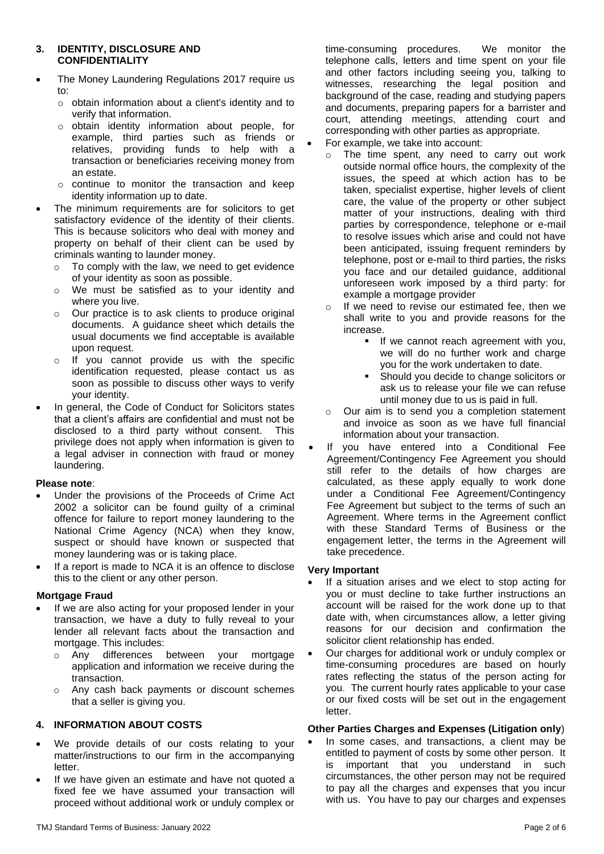#### **3. IDENTITY, DISCLOSURE AND CONFIDENTIALITY**

- The Money Laundering Regulations 2017 require us to:
	- o obtain information about a client's identity and to verify that information.
	- o obtain identity information about people, for example, third parties such as friends or relatives, providing funds to help with a transaction or beneficiaries receiving money from an estate.
	- o continue to monitor the transaction and keep identity information up to date.
- The minimum requirements are for solicitors to get satisfactory evidence of the identity of their clients. This is because solicitors who deal with money and property on behalf of their client can be used by criminals wanting to launder money.
	- o To comply with the law, we need to get evidence of your identity as soon as possible.
	- o We must be satisfied as to your identity and where you live.
	- o Our practice is to ask clients to produce original documents. A guidance sheet which details the usual documents we find acceptable is available upon request.
	- o If you cannot provide us with the specific identification requested, please contact us as soon as possible to discuss other ways to verify your identity.
- In general, the Code of Conduct for Solicitors states that a client's affairs are confidential and must not be disclosed to a third party without consent. This privilege does not apply when information is given to a legal adviser in connection with fraud or money laundering.

## **Please note**:

- Under the provisions of the Proceeds of Crime Act 2002 a solicitor can be found guilty of a criminal offence for failure to report money laundering to the National Crime Agency (NCA) when they know, suspect or should have known or suspected that money laundering was or is taking place.
- If a report is made to NCA it is an offence to disclose this to the client or any other person.

## **Mortgage Fraud**

- If we are also acting for your proposed lender in your transaction, we have a duty to fully reveal to your lender all relevant facts about the transaction and mortgage. This includes:
	- o Any differences between your mortgage application and information we receive during the transaction.
	- o Any cash back payments or discount schemes that a seller is giving you.

# **4. INFORMATION ABOUT COSTS**

- We provide details of our costs relating to your matter/instructions to our firm in the accompanying **letter**
- If we have given an estimate and have not quoted a fixed fee we have assumed your transaction will proceed without additional work or unduly complex or

time-consuming procedures. We monitor the telephone calls, letters and time spent on your file and other factors including seeing you, talking to witnesses, researching the legal position and background of the case, reading and studying papers and documents, preparing papers for a barrister and court, attending meetings, attending court and corresponding with other parties as appropriate.

- For example, we take into account:
	- o The time spent, any need to carry out work outside normal office hours, the complexity of the issues, the speed at which action has to be taken, specialist expertise, higher levels of client care, the value of the property or other subject matter of your instructions, dealing with third parties by correspondence, telephone or e-mail to resolve issues which arise and could not have been anticipated, issuing frequent reminders by telephone, post or e-mail to third parties, the risks you face and our detailed guidance, additional unforeseen work imposed by a third party: for example a mortgage provider
	- If we need to revise our estimated fee, then we shall write to you and provide reasons for the increase.
		- **■** If we cannot reach agreement with you, we will do no further work and charge you for the work undertaken to date.
		- Should you decide to change solicitors or ask us to release your file we can refuse until money due to us is paid in full.
	- Our aim is to send you a completion statement and invoice as soon as we have full financial information about your transaction.
- If you have entered into a Conditional Fee Agreement/Contingency Fee Agreement you should still refer to the details of how charges are calculated, as these apply equally to work done under a Conditional Fee Agreement/Contingency Fee Agreement but subject to the terms of such an Agreement. Where terms in the Agreement conflict with these Standard Terms of Business or the engagement letter, the terms in the Agreement will take precedence.

## **Very Important**

- If a situation arises and we elect to stop acting for you or must decline to take further instructions an account will be raised for the work done up to that date with, when circumstances allow, a letter giving reasons for our decision and confirmation the solicitor client relationship has ended.
- Our charges for additional work or unduly complex or time-consuming procedures are based on hourly rates reflecting the status of the person acting for you. The current hourly rates applicable to your case or our fixed costs will be set out in the engagement letter.

## **Other Parties Charges and Expenses (Litigation only**)

In some cases, and transactions, a client may be entitled to payment of costs by some other person. It is important that you understand in such circumstances, the other person may not be required to pay all the charges and expenses that you incur with us. You have to pay our charges and expenses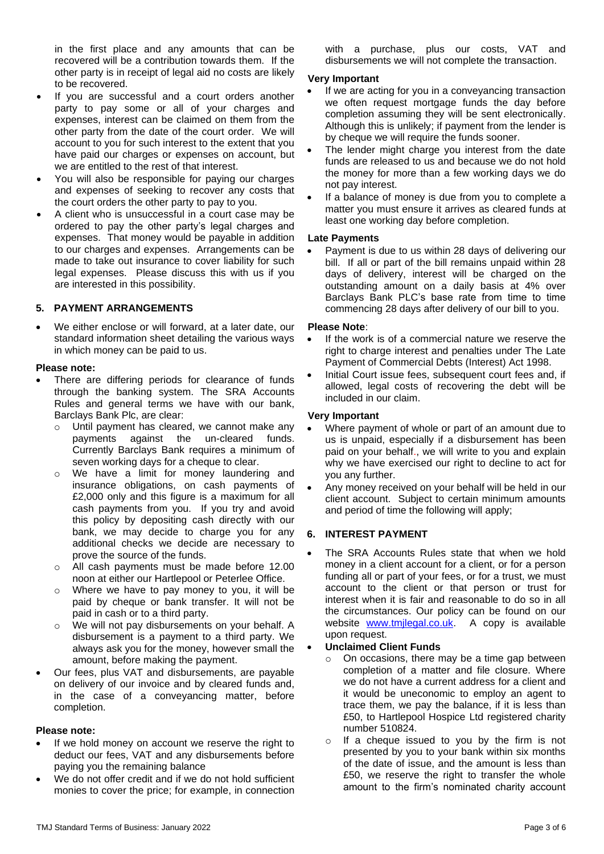in the first place and any amounts that can be recovered will be a contribution towards them. If the other party is in receipt of legal aid no costs are likely to be recovered.

- If you are successful and a court orders another party to pay some or all of your charges and expenses, interest can be claimed on them from the other party from the date of the court order. We will account to you for such interest to the extent that you have paid our charges or expenses on account, but we are entitled to the rest of that interest.
- You will also be responsible for paying our charges and expenses of seeking to recover any costs that the court orders the other party to pay to you.
- A client who is unsuccessful in a court case may be ordered to pay the other party's legal charges and expenses. That money would be payable in addition to our charges and expenses. Arrangements can be made to take out insurance to cover liability for such legal expenses. Please discuss this with us if you are interested in this possibility.

## **5. PAYMENT ARRANGEMENTS**

We either enclose or will forward, at a later date, our standard information sheet detailing the various ways in which money can be paid to us.

#### **Please note:**

- There are differing periods for clearance of funds through the banking system. The SRA Accounts Rules and general terms we have with our bank, Barclays Bank Plc, are clear:
	- o Until payment has cleared, we cannot make any payments against the un-cleared funds. Currently Barclays Bank requires a minimum of seven working days for a cheque to clear.
	- o We have a limit for money laundering and insurance obligations, on cash payments of £2,000 only and this figure is a maximum for all cash payments from you. If you try and avoid this policy by depositing cash directly with our bank, we may decide to charge you for any additional checks we decide are necessary to prove the source of the funds.
	- o All cash payments must be made before 12.00 noon at either our Hartlepool or Peterlee Office.
	- o Where we have to pay money to you, it will be paid by cheque or bank transfer. It will not be paid in cash or to a third party.
	- o We will not pay disbursements on your behalf. A disbursement is a payment to a third party. We always ask you for the money, however small the amount, before making the payment.
- Our fees, plus VAT and disbursements, are payable on delivery of our invoice and by cleared funds and, in the case of a conveyancing matter, before completion.

## **Please note:**

- If we hold money on account we reserve the right to deduct our fees, VAT and any disbursements before paying you the remaining balance
- We do not offer credit and if we do not hold sufficient monies to cover the price; for example, in connection

with a purchase, plus our costs, VAT and disbursements we will not complete the transaction.

#### **Very Important**

- If we are acting for you in a conveyancing transaction we often request mortgage funds the day before completion assuming they will be sent electronically. Although this is unlikely; if payment from the lender is by cheque we will require the funds sooner.
- The lender might charge you interest from the date funds are released to us and because we do not hold the money for more than a few working days we do not pay interest.
- If a balance of money is due from you to complete a matter you must ensure it arrives as cleared funds at least one working day before completion.

## **Late Payments**

• Payment is due to us within 28 days of delivering our bill. If all or part of the bill remains unpaid within 28 days of delivery, interest will be charged on the outstanding amount on a daily basis at 4% over Barclays Bank PLC's base rate from time to time commencing 28 days after delivery of our bill to you.

#### **Please Note**:

- If the work is of a commercial nature we reserve the right to charge interest and penalties under The Late Payment of Commercial Debts (Interest) Act 1998.
- Initial Court issue fees, subsequent court fees and, if allowed, legal costs of recovering the debt will be included in our claim.

#### **Very Important**

- Where payment of whole or part of an amount due to us is unpaid, especially if a disbursement has been paid on your behalf., we will write to you and explain why we have exercised our right to decline to act for you any further.
- Any money received on your behalf will be held in our client account. Subject to certain minimum amounts and period of time the following will apply;

## **6. INTEREST PAYMENT**

The SRA Accounts Rules state that when we hold money in a client account for a client, or for a person funding all or part of your fees, or for a trust, we must account to the client or that person or trust for interest when it is fair and reasonable to do so in all the circumstances. Our policy can be found on our website [www.tmjlegal.co.uk.](http://www.tmjlegal.co.uk/) A copy is available upon request.

#### • **Unclaimed Client Funds**

- o On occasions, there may be a time gap between completion of a matter and file closure. Where we do not have a current address for a client and it would be uneconomic to employ an agent to trace them, we pay the balance, if it is less than £50, to Hartlepool Hospice Ltd registered charity number 510824.
- o If a cheque issued to you by the firm is not presented by you to your bank within six months of the date of issue, and the amount is less than £50, we reserve the right to transfer the whole amount to the firm's nominated charity account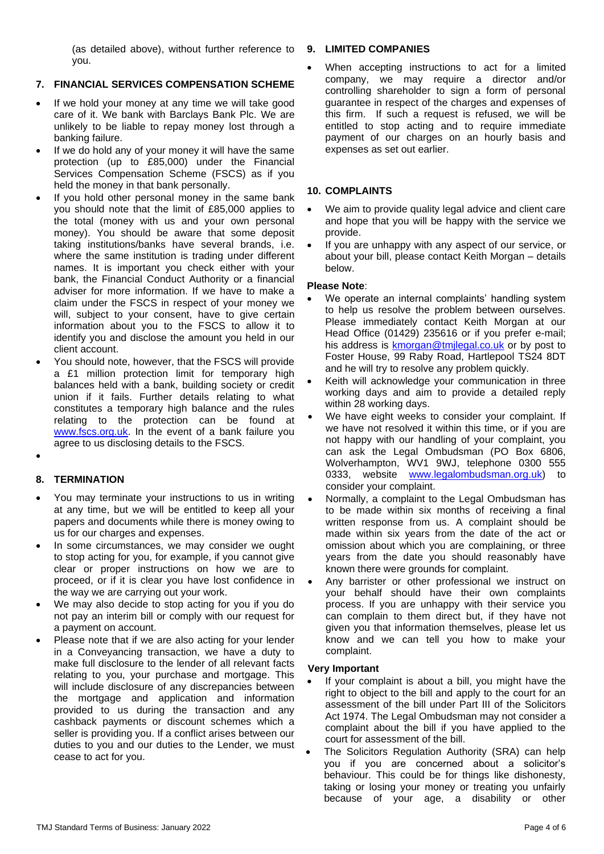(as detailed above), without further reference to you.

# **7. FINANCIAL SERVICES COMPENSATION SCHEME**

- If we hold your money at any time we will take good care of it. We bank with Barclays Bank Plc. We are unlikely to be liable to repay money lost through a banking failure.
- If we do hold any of your money it will have the same protection (up to £85,000) under the Financial Services Compensation Scheme (FSCS) as if you held the money in that bank personally.
- If you hold other personal money in the same bank you should note that the limit of £85,000 applies to the total (money with us and your own personal money). You should be aware that some deposit taking institutions/banks have several brands, i.e. where the same institution is trading under different names. It is important you check either with your bank, the Financial Conduct Authority or a financial adviser for more information. If we have to make a claim under the FSCS in respect of your money we will, subject to your consent, have to give certain information about you to the FSCS to allow it to identify you and disclose the amount you held in our client account.
- You should note, however, that the FSCS will provide a £1 million protection limit for temporary high balances held with a bank, building society or credit union if it fails. Further details relating to what constitutes a temporary high balance and the rules relating to the protection can be found at [www.fscs.org.uk.](http://www.fscs.org.uk/) In the event of a bank failure you agree to us disclosing details to the FSCS.
- •

# **8. TERMINATION**

- You may terminate your instructions to us in writing at any time, but we will be entitled to keep all your papers and documents while there is money owing to us for our charges and expenses.
- In some circumstances, we may consider we ought to stop acting for you, for example, if you cannot give clear or proper instructions on how we are to proceed, or if it is clear you have lost confidence in the way we are carrying out your work.
- We may also decide to stop acting for you if you do not pay an interim bill or comply with our request for a payment on account.
- Please note that if we are also acting for your lender in a Conveyancing transaction, we have a duty to make full disclosure to the lender of all relevant facts relating to you, your purchase and mortgage. This will include disclosure of any discrepancies between the mortgage and application and information provided to us during the transaction and any cashback payments or discount schemes which a seller is providing you. If a conflict arises between our duties to you and our duties to the Lender, we must cease to act for you.

#### **9. LIMITED COMPANIES**

When accepting instructions to act for a limited company, we may require a director and/or controlling shareholder to sign a form of personal guarantee in respect of the charges and expenses of this firm. If such a request is refused, we will be entitled to stop acting and to require immediate payment of our charges on an hourly basis and expenses as set out earlier.

## **10. COMPLAINTS**

- We aim to provide quality legal advice and client care and hope that you will be happy with the service we provide.
- If you are unhappy with any aspect of our service, or about your bill, please contact Keith Morgan – details below.

## **Please Note**:

- We operate an internal complaints' handling system to help us resolve the problem between ourselves. Please immediately contact Keith Morgan at our Head Office (01429) 235616 or if you prefer e-mail; his address is [kmorgan@tmjlegal.co.uk](mailto:kmorgan@tmjlegal.co.uk) or by post to Foster House, 99 Raby Road, Hartlepool TS24 8DT and he will try to resolve any problem quickly.
- Keith will acknowledge your communication in three working days and aim to provide a detailed reply within 28 working days.
- We have eight weeks to consider your complaint. If we have not resolved it within this time, or if you are not happy with our handling of your complaint, you can ask the Legal Ombudsman (PO Box 6806, Wolverhampton, WV1 9WJ, telephone 0300 555 0333, website [www.legalombudsman.org.uk\)](http://www.legalombudsman.org.uk/) to consider your complaint.
- Normally, a complaint to the Legal Ombudsman has to be made within six months of receiving a final written response from us. A complaint should be made within six years from the date of the act or omission about which you are complaining, or three years from the date you should reasonably have known there were grounds for complaint.
- Any barrister or other professional we instruct on your behalf should have their own complaints process. If you are unhappy with their service you can complain to them direct but, if they have not given you that information themselves, please let us know and we can tell you how to make your complaint.

## **Very Important**

- If your complaint is about a bill, you might have the right to object to the bill and apply to the court for an assessment of the bill under Part III of the Solicitors Act 1974. The Legal Ombudsman may not consider a complaint about the bill if you have applied to the court for assessment of the bill.
- The Solicitors Regulation Authority (SRA) can help you if you are concerned about a solicitor's behaviour. This could be for things like dishonesty, taking or losing your money or treating you unfairly because of your age, a disability or other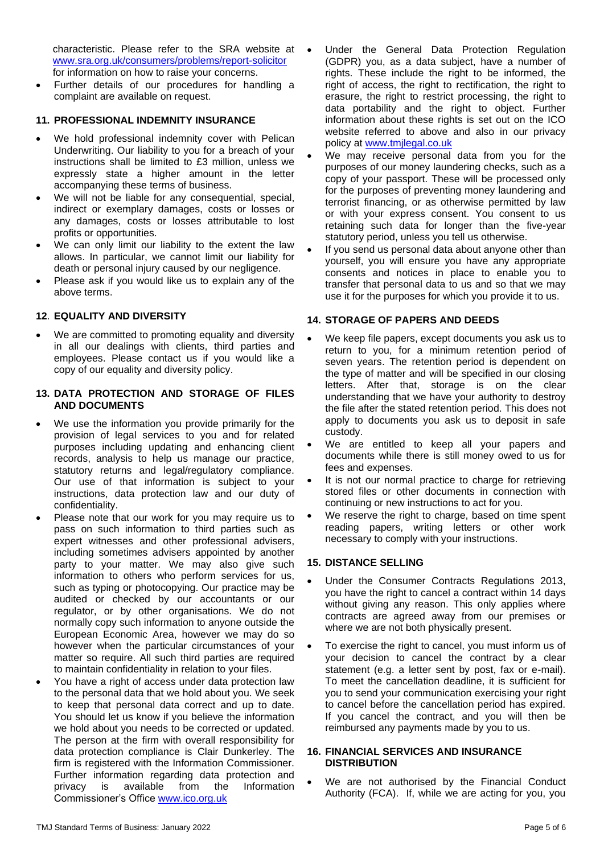characteristic. Please refer to the SRA website at [www.sra.org.uk/consumers/problems/report-solicitor](http://www.sra.org.uk/consumers/problems/report-solicitor) for information on how to raise your concerns.

• Further details of our procedures for handling a complaint are available on request.

## **11. PROFESSIONAL INDEMNITY INSURANCE**

- We hold professional indemnity cover with Pelican Underwriting. Our liability to you for a breach of your instructions shall be limited to £3 million, unless we expressly state a higher amount in the letter accompanying these terms of business.
- We will not be liable for any consequential, special, indirect or exemplary damages, costs or losses or any damages, costs or losses attributable to lost profits or opportunities.
- We can only limit our liability to the extent the law allows. In particular, we cannot limit our liability for death or personal injury caused by our negligence.
- Please ask if you would like us to explain any of the above terms.

# **12**. **EQUALITY AND DIVERSITY**

We are committed to promoting equality and diversity in all our dealings with clients, third parties and employees. Please contact us if you would like a copy of our equality and diversity policy.

#### **13. DATA PROTECTION AND STORAGE OF FILES AND DOCUMENTS**

- We use the information you provide primarily for the provision of legal services to you and for related purposes including updating and enhancing client records, analysis to help us manage our practice, statutory returns and legal/regulatory compliance. Our use of that information is subject to your instructions, data protection law and our duty of confidentiality.
- Please note that our work for you may require us to pass on such information to third parties such as expert witnesses and other professional advisers, including sometimes advisers appointed by another party to your matter. We may also give such information to others who perform services for us, such as typing or photocopying. Our practice may be audited or checked by our accountants or our regulator, or by other organisations. We do not normally copy such information to anyone outside the European Economic Area, however we may do so however when the particular circumstances of your matter so require. All such third parties are required to maintain confidentiality in relation to your files.
- You have a right of access under data protection law to the personal data that we hold about you. We seek to keep that personal data correct and up to date. You should let us know if you believe the information we hold about you needs to be corrected or updated. The person at the firm with overall responsibility for data protection compliance is Clair Dunkerley. The firm is registered with the Information Commissioner. Further information regarding data protection and privacy is available from the Information Commissioner's Office [www.ico.org.uk](http://www.ico.org.uk/)
- Under the General Data Protection Regulation (GDPR) you, as a data subject, have a number of rights. These include the right to be informed, the right of access, the right to rectification, the right to erasure, the right to restrict processing, the right to data portability and the right to object. Further information about these rights is set out on the ICO website referred to above and also in our privacy policy at [www.tmjlegal.co.uk](http://www.tmjlegal.co.uk/)
- We may receive personal data from you for the purposes of our money laundering checks, such as a copy of your passport. These will be processed only for the purposes of preventing money laundering and terrorist financing, or as otherwise permitted by law or with your express consent. You consent to us retaining such data for longer than the five-year statutory period, unless you tell us otherwise.
- If you send us personal data about anyone other than yourself, you will ensure you have any appropriate consents and notices in place to enable you to transfer that personal data to us and so that we may use it for the purposes for which you provide it to us.

# **14. STORAGE OF PAPERS AND DEEDS**

- We keep file papers, except documents you ask us to return to you, for a minimum retention period of seven years. The retention period is dependent on the type of matter and will be specified in our closing letters. After that, storage is on the clear understanding that we have your authority to destroy the file after the stated retention period. This does not apply to documents you ask us to deposit in safe custody.
- We are entitled to keep all your papers and documents while there is still money owed to us for fees and expenses.
- It is not our normal practice to charge for retrieving stored files or other documents in connection with continuing or new instructions to act for you.
- We reserve the right to charge, based on time spent reading papers, writing letters or other work necessary to comply with your instructions.

## **15. DISTANCE SELLING**

- Under the Consumer Contracts Regulations 2013, you have the right to cancel a contract within 14 days without giving any reason. This only applies where contracts are agreed away from our premises or where we are not both physically present.
- To exercise the right to cancel, you must inform us of your decision to cancel the contract by a clear statement (e.g. a letter sent by post, fax or e-mail). To meet the cancellation deadline, it is sufficient for you to send your communication exercising your right to cancel before the cancellation period has expired. If you cancel the contract, and you will then be reimbursed any payments made by you to us.

#### **16. FINANCIAL SERVICES AND INSURANCE DISTRIBUTION**

We are not authorised by the Financial Conduct Authority (FCA). If, while we are acting for you, you